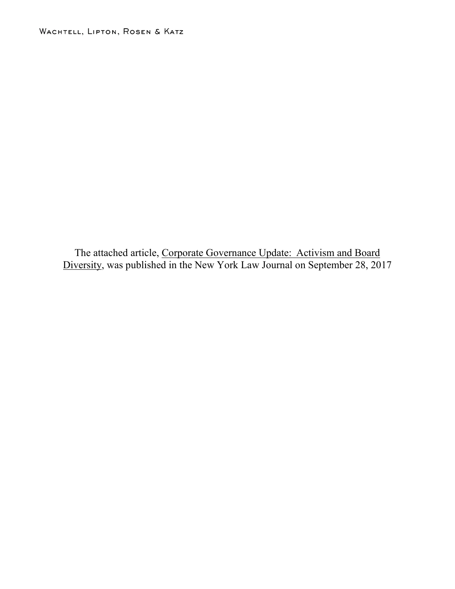The attached article, Corporate Governance Update: Activism and Board Diversity, was published in the New York Law Journal on September 28, 2017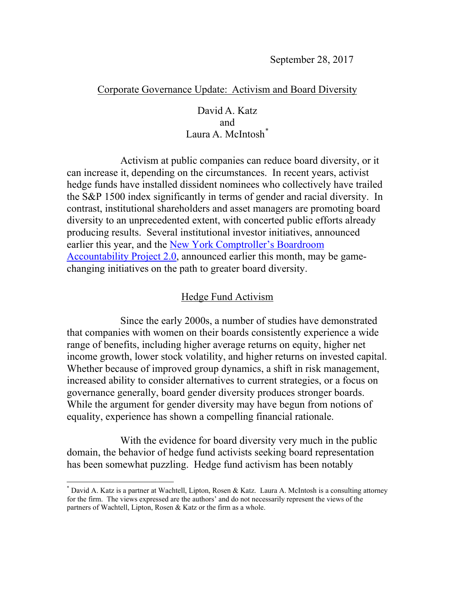## Corporate Governance Update: Activism and Board Diversity

## David A. Katz and Laura A. McIntosh<sup>[\\*](#page-1-0)</sup>

Activism at public companies can reduce board diversity, or it can increase it, depending on the circumstances. In recent years, activist hedge funds have installed dissident nominees who collectively have trailed the S&P 1500 index significantly in terms of gender and racial diversity. In contrast, institutional shareholders and asset managers are promoting board diversity to an unprecedented extent, with concerted public efforts already producing results. Several institutional investor initiatives, announced earlier this year, and the New York [Comptroller's](https://comptroller.nyc.gov/services/financial-matters/boardroom-accountability-project/boardroom-accountability-project-2-0/) Boardroom [Accountability](https://comptroller.nyc.gov/services/financial-matters/boardroom-accountability-project/boardroom-accountability-project-2-0/) Project 2.0, announced earlier this month, may be gamechanging initiatives on the path to greater board diversity.

## Hedge Fund Activism

Since the early 2000s, a number of studies have demonstrated that companies with women on their boards consistently experience a wide range of benefits, including higher average returns on equity, higher net income growth, lower stock volatility, and higher returns on invested capital. Whether because of improved group dynamics, a shift in risk management, increased ability to consider alternatives to current strategies, or a focus on governance generally, board gender diversity produces stronger boards. While the argument for gender diversity may have begun from notions of equality, experience has shown a compelling financial rationale.

With the evidence for board diversity very much in the public domain, the behavior of hedge fund activists seeking board representation has been somewhat puzzling. Hedge fund activism has been notably

<span id="page-1-0"></span> <sup>\*</sup> David A. Katz is <sup>a</sup> partner at Wachtell, Lipton, Rosen & Katz. Laura A. McIntosh is <sup>a</sup> consulting attorney for the firm. The views expressed are the authors' and do not necessarily represent the views of the partners of Wachtell, Lipton, Rosen & Katz or the firm as a whole.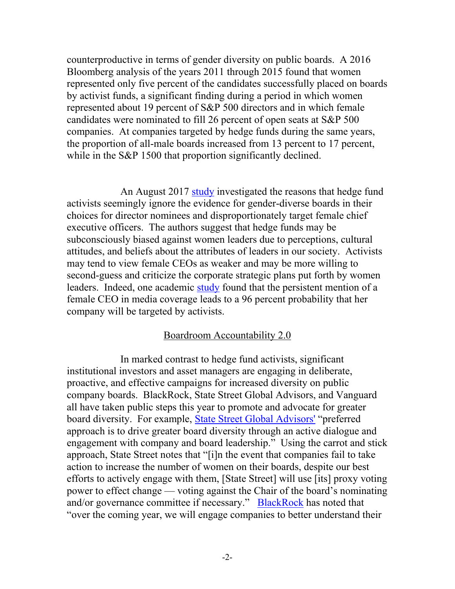counterproductive in terms of gender diversity on public boards. A 2016 Bloomberg analysis of the years 2011 through 2015 found that women represented only five percent of the candidates successfully placed on boards by activist funds, a significant finding during a period in which women represented about 19 percent of S&P 500 directors and in which female candidates were nominated to fill 26 percent of open seats at S&P 500 companies. At companies targeted by hedge funds during the same years, the proportion of all-male boards increased from 13 percent to 17 percent, while in the S&P 1500 that proportion significantly declined.

An August 2017 [study](https://papers.ssrn.com/sol3/papers.cfm?abstract_id=3027096) investigated the reasons that hedge fund activists seemingly ignore the evidence for gender-diverse boards in their choices for director nominees and disproportionately target female chief executive officers. The authors suggest that hedge funds may be subconsciously biased against women leaders due to perceptions, cultural attitudes, and beliefs about the attributes of leaders in our society. Activists may tend to view female CEOs as weaker and may be more willing to second-guess and criticize the corporate strategic plans put forth by women leaders. Indeed, one academic [study](https://www.fastcompany.com/3062769/female-ceos-are-more-likely-to-be-targeted-by-shareholder-activism) found that the persistent mention of a female CEO in media coverage leads to a 96 percent probability that her company will be targeted by activists.

## Boardroom Accountability 2.0

In marked contrast to hedge fund activists, significant institutional investors and asset managers are engaging in deliberate, proactive, and effective campaigns for increased diversity on public company boards. BlackRock, State Street Global Advisors, and Vanguard all have taken public steps this year to promote and advocate for greater board diversity. For example, State Street Global [Advisors'](https://www.ssga.com/investment-topics/environmental-social-governance/2017/guidance-on-enhancing-gender-diversity-on-boards.pdf) "preferred approach is to drive greater board diversity through an active dialogue and engagement with company and board leadership." Using the carrot and stick approach, State Street notes that "[i]n the event that companies fail to take action to increase the number of women on their boards, despite our best efforts to actively engage with them, [State Street] will use [its] proxy voting power to effect change — voting against the Chair of the board's nominating and/or governance committee if necessary." [BlackRock](https://www.blackrock.com/corporate/en-us/about-us/investment-stewardship/engagement-priorities) has noted that "over the coming year, we will engage companies to better understand their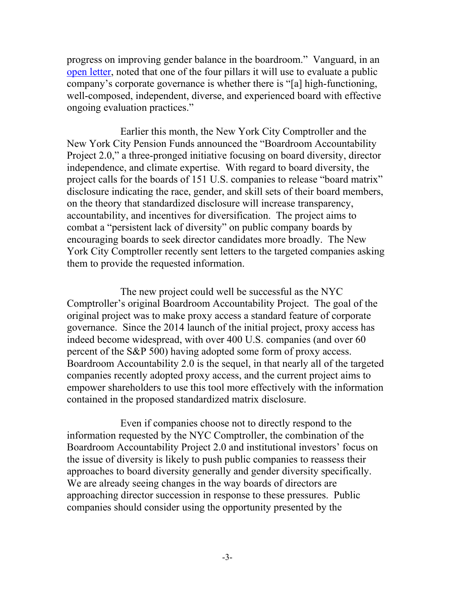progress on improving gender balance in the boardroom." Vanguard, in an open [letter,](https://about.vanguard.com/investment-stewardship/governance-letter-to-companies.pdf) noted that one of the four pillars it will use to evaluate a public company's corporate governance is whether there is "[a] high-functioning, well-composed, independent, diverse, and experienced board with effective ongoing evaluation practices."

Earlier this month, the New York City Comptroller and the New York City Pension Funds announced the "Boardroom Accountability Project 2.0," a three-pronged initiative focusing on board diversity, director independence, and climate expertise. With regard to board diversity, the project calls for the boards of 151 U.S. companies to release "board matrix" disclosure indicating the race, gender, and skill sets of their board members, on the theory that standardized disclosure will increase transparency, accountability, and incentives for diversification. The project aims to combat a "persistent lack of diversity" on public company boards by encouraging boards to seek director candidates more broadly. The New York City Comptroller recently sent letters to the targeted companies asking them to provide the requested information.

The new project could well be successful as the NYC Comptroller's original Boardroom Accountability Project. The goal of the original project was to make proxy access a standard feature of corporate governance. Since the 2014 launch of the initial project, proxy access has indeed become widespread, with over 400 U.S. companies (and over 60 percent of the S&P 500) having adopted some form of proxy access. Boardroom Accountability 2.0 is the sequel, in that nearly all of the targeted companies recently adopted proxy access, and the current project aims to empower shareholders to use this tool more effectively with the information contained in the proposed standardized matrix disclosure.

Even if companies choose not to directly respond to the information requested by the NYC Comptroller, the combination of the Boardroom Accountability Project 2.0 and institutional investors' focus on the issue of diversity is likely to push public companies to reassess their approaches to board diversity generally and gender diversity specifically. We are already seeing changes in the way boards of directors are approaching director succession in response to these pressures. Public companies should consider using the opportunity presented by the